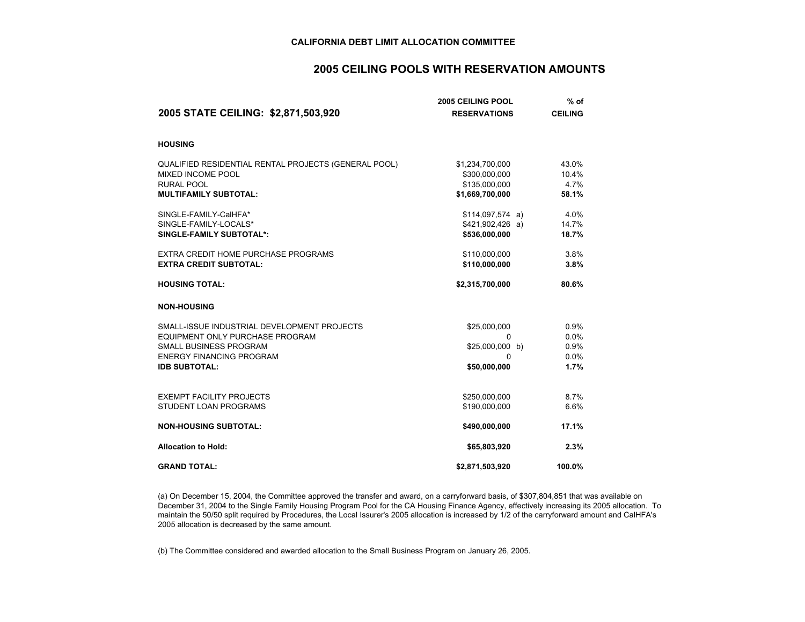## **2005 CEILING POOLS WITH RESERVATION AMOUNTS**

|                                                      | <b>2005 CEILING POOL</b> |                | % of |  |
|------------------------------------------------------|--------------------------|----------------|------|--|
| 2005 STATE CEILING: \$2,871,503,920                  | <b>RESERVATIONS</b>      | <b>CEILING</b> |      |  |
| <b>HOUSING</b>                                       |                          |                |      |  |
| QUALIFIED RESIDENTIAL RENTAL PROJECTS (GENERAL POOL) | \$1,234,700,000          | 43.0%          |      |  |
| <b>MIXED INCOME POOL</b>                             | \$300,000,000            | 10.4%          |      |  |
| <b>RURAL POOL</b>                                    | \$135,000,000            | 4.7%           |      |  |
| <b>MULTIFAMILY SUBTOTAL:</b>                         | \$1,669,700,000          | 58.1%          |      |  |
| SINGLE-FAMILY-CalHFA*                                | \$114,097,574 a)         | 4.0%           |      |  |
| SINGLE-FAMILY-LOCALS*                                | $$421,902,426$ a)        | 14.7%          |      |  |
| SINGLE-FAMILY SUBTOTAL*:                             | \$536,000,000            | 18.7%          |      |  |
| EXTRA CREDIT HOME PURCHASE PROGRAMS                  | \$110,000,000            | 3.8%           |      |  |
| <b>EXTRA CREDIT SUBTOTAL:</b>                        | \$110,000,000            | 3.8%           |      |  |
| <b>HOUSING TOTAL:</b>                                | \$2,315,700,000          | 80.6%          |      |  |
| <b>NON-HOUSING</b>                                   |                          |                |      |  |
| SMALL-ISSUE INDUSTRIAL DEVELOPMENT PROJECTS          | \$25,000,000             | 0.9%           |      |  |
| EQUIPMENT ONLY PURCHASE PROGRAM                      | 0                        | 0.0%           |      |  |
| SMALL BUSINESS PROGRAM                               | \$25,000,000 b)          | 0.9%           |      |  |
| <b>ENERGY FINANCING PROGRAM</b>                      | 0                        | 0.0%           |      |  |
| <b>IDB SUBTOTAL:</b>                                 | \$50,000,000             | 1.7%           |      |  |
|                                                      |                          |                |      |  |
| <b>EXEMPT FACILITY PROJECTS</b>                      | \$250,000,000            | 8.7%           |      |  |
| STUDENT LOAN PROGRAMS                                | \$190,000,000            | 6.6%           |      |  |
| <b>NON-HOUSING SUBTOTAL:</b>                         | \$490,000,000            | 17.1%          |      |  |
| <b>Allocation to Hold:</b>                           | \$65,803,920             | 2.3%           |      |  |
| <b>GRAND TOTAL:</b>                                  | \$2,871,503,920          | 100.0%         |      |  |

(a) On December 15, 2004, the Committee approved the transfer and award, on a carryforward basis, of \$307,804,851 that was available on December 31, 2004 to the Single Family Housing Program Pool for the CA Housing Finance Agency, effectively increasing its 2005 allocation. To maintain the 50/50 split required by Procedures, the Local Issurer's 2005 allocation is increased by 1/2 of the carryforward amount and CalHFA's 2005 allocation is decreased by the same amount.

(b) The Committee considered and awarded allocation to the Small Business Program on January 26, 2005.